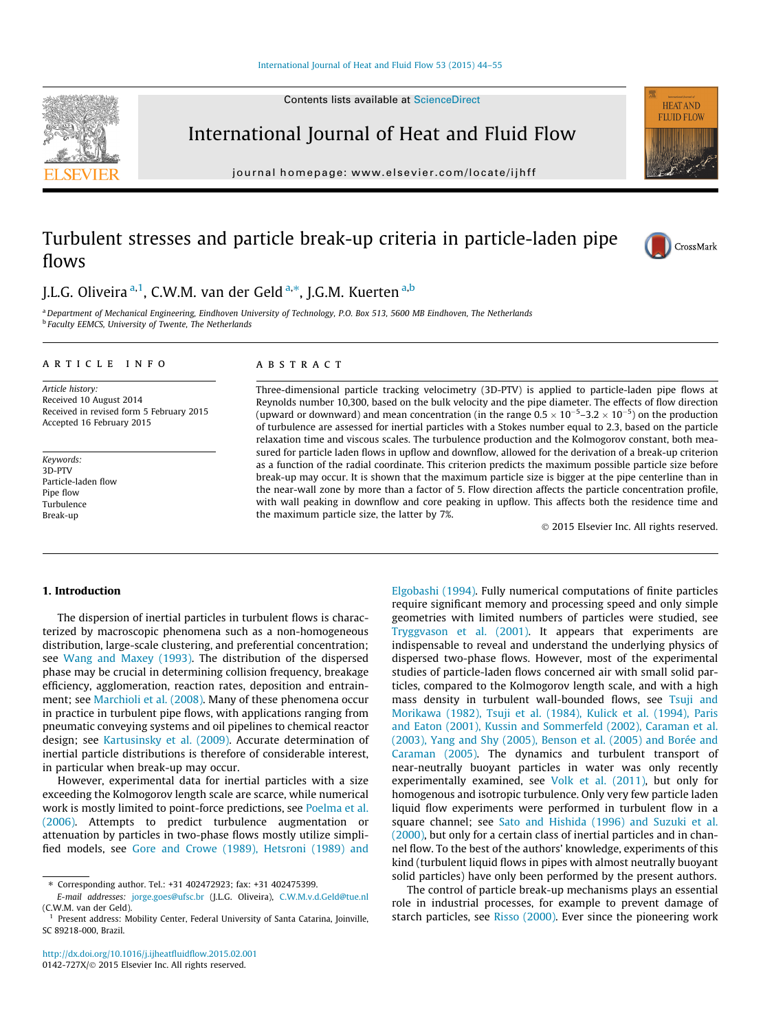Contents lists available at [ScienceDirect](http://www.sciencedirect.com/science/journal/0142727X)



International Journal of Heat and Fluid Flow

journal homepage: [www.elsevier.com/locate/ijhff](http://www.elsevier.com/locate/ijhff)



# Turbulent stresses and particle break-up criteria in particle-laden pipe flows



## J.L.G. Oliveira <sup>a, 1</sup>, C.W.M. van der Geld <sup>a,</sup>\*, J.G.M. Kuerten <sup>a,b</sup>

a Department of Mechanical Engineering, Eindhoven University of Technology, P.O. Box 513, 5600 MB Eindhoven, The Netherlands **b** Faculty EEMCS, University of Twente, The Netherlands

#### article info

Article history: Received 10 August 2014 Received in revised form 5 February 2015 Accepted 16 February 2015

Keywords: 3D-PTV Particle-laden flow Pipe flow Turbulence Break-up

#### ABSTRACT

Three-dimensional particle tracking velocimetry (3D-PTV) is applied to particle-laden pipe flows at Reynolds number 10,300, based on the bulk velocity and the pipe diameter. The effects of flow direction (upward or downward) and mean concentration (in the range  $0.5 \times 10^{-5}$ –3.2  $\times$  10<sup>-5</sup>) on the production of turbulence are assessed for inertial particles with a Stokes number equal to 2.3, based on the particle relaxation time and viscous scales. The turbulence production and the Kolmogorov constant, both measured for particle laden flows in upflow and downflow, allowed for the derivation of a break-up criterion as a function of the radial coordinate. This criterion predicts the maximum possible particle size before break-up may occur. It is shown that the maximum particle size is bigger at the pipe centerline than in the near-wall zone by more than a factor of 5. Flow direction affects the particle concentration profile, with wall peaking in downflow and core peaking in upflow. This affects both the residence time and the maximum particle size, the latter by 7%.

- 2015 Elsevier Inc. All rights reserved.

### 1. Introduction

The dispersion of inertial particles in turbulent flows is characterized by macroscopic phenomena such as a non-homogeneous distribution, large-scale clustering, and preferential concentration; see [Wang and Maxey \(1993\).](#page-11-0) The distribution of the dispersed phase may be crucial in determining collision frequency, breakage efficiency, agglomeration, reaction rates, deposition and entrainment; see [Marchioli et al. \(2008\)](#page-11-0). Many of these phenomena occur in practice in turbulent pipe flows, with applications ranging from pneumatic conveying systems and oil pipelines to chemical reactor design; see [Kartusinsky et al. \(2009\)](#page-11-0). Accurate determination of inertial particle distributions is therefore of considerable interest, in particular when break-up may occur.

However, experimental data for inertial particles with a size exceeding the Kolmogorov length scale are scarce, while numerical work is mostly limited to point-force predictions, see [Poelma et al.](#page-11-0) [\(2006\).](#page-11-0) Attempts to predict turbulence augmentation or attenuation by particles in two-phase flows mostly utilize simplified models, see [Gore and Crowe \(1989\), Hetsroni \(1989\) and](#page-11-0)

E-mail addresses: [jorge.goes@ufsc.br](mailto:jorge.goes@ufsc.br) (J.L.G. Oliveira), [C.W.M.v.d.Geld@tue.nl](mailto:C.W.M.v.d.Geld@tue.nl) (C.W.M. van der Geld).

[Elgobashi \(1994\).](#page-11-0) Fully numerical computations of finite particles require significant memory and processing speed and only simple geometries with limited numbers of particles were studied, see [Tryggvason et al. \(2001\).](#page-11-0) It appears that experiments are indispensable to reveal and understand the underlying physics of dispersed two-phase flows. However, most of the experimental studies of particle-laden flows concerned air with small solid particles, compared to the Kolmogorov length scale, and with a high mass density in turbulent wall-bounded flows, see [Tsuji and](#page-11-0) [Morikawa \(1982\), Tsuji et al. \(1984\), Kulick et al. \(1994\), Paris](#page-11-0) [and Eaton \(2001\), Kussin and Sommerfeld \(2002\), Caraman et al.](#page-11-0) [\(2003\), Yang and Shy \(2005\), Benson et al. \(2005\) and Borée and](#page-11-0) [Caraman \(2005\)](#page-11-0). The dynamics and turbulent transport of near-neutrally buoyant particles in water was only recently experimentally examined, see [Volk et al. \(2011\),](#page-11-0) but only for homogenous and isotropic turbulence. Only very few particle laden liquid flow experiments were performed in turbulent flow in a square channel; see [Sato and Hishida \(1996\) and Suzuki et al.](#page-11-0) [\(2000\),](#page-11-0) but only for a certain class of inertial particles and in channel flow. To the best of the authors' knowledge, experiments of this kind (turbulent liquid flows in pipes with almost neutrally buoyant solid particles) have only been performed by the present authors.

The control of particle break-up mechanisms plays an essential role in industrial processes, for example to prevent damage of starch particles, see [Risso \(2000\).](#page-11-0) Ever since the pioneering work

<sup>⇑</sup> Corresponding author. Tel.: +31 402472923; fax: +31 402475399.

<sup>&</sup>lt;sup>1</sup> Present address: Mobility Center, Federal University of Santa Catarina, Joinville, SC 89218-000, Brazil.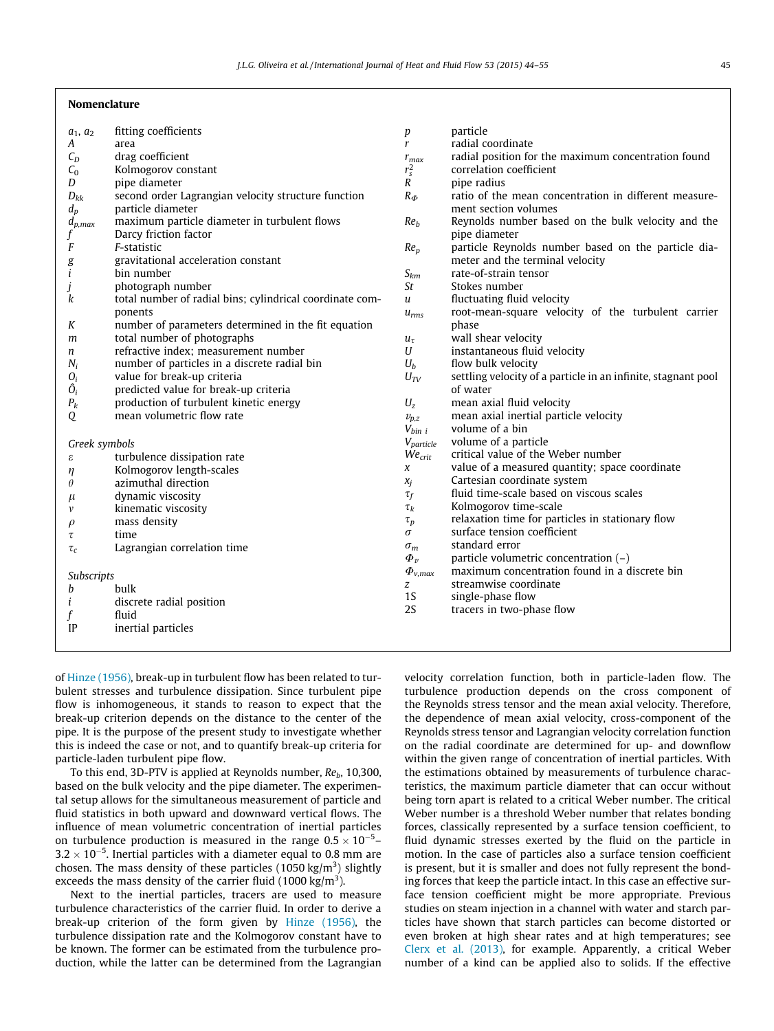#### Nomenclature

| $a_1$ , $a_2$ | fitting coefficients                                     | p                   | particle                                                      |
|---------------|----------------------------------------------------------|---------------------|---------------------------------------------------------------|
| A             | area                                                     | $\mathbf{r}$        | radial coordinate                                             |
| $C_D$         | drag coefficient                                         | $r_{max}$           | radial position for the maximum concentration found           |
| $C_0$         | Kolmogorov constant                                      | $r_s^2$             | correlation coefficient                                       |
| D             | pipe diameter                                            | $\boldsymbol{R}$    | pipe radius                                                   |
| $D_{kk}$      | second order Lagrangian velocity structure function      | $R_{\Phi}$          | ratio of the mean concentration in different measure-         |
| $d_p$         | particle diameter                                        |                     | ment section volumes                                          |
| $d_{p,max}$   | maximum particle diameter in turbulent flows             | Re <sub>b</sub>     | Reynolds number based on the bulk velocity and the            |
| f             | Darcy friction factor                                    |                     | pipe diameter                                                 |
| F             | F-statistic                                              | $Re_p$              | particle Reynolds number based on the particle dia-           |
| g             | gravitational acceleration constant                      |                     | meter and the terminal velocity                               |
| $\mathbf{i}$  | bin number                                               | $S_{km}$            | rate-of-strain tensor                                         |
| j             | photograph number                                        | St                  | Stokes number                                                 |
| k             | total number of radial bins; cylindrical coordinate com- | u                   | fluctuating fluid velocity                                    |
|               | ponents                                                  | $u_{rms}$           | root-mean-square velocity of the turbulent carrier            |
| K             | number of parameters determined in the fit equation      |                     | phase                                                         |
| m             | total number of photographs                              | $u_{\tau}$          | wall shear velocity                                           |
| n             | refractive index; measurement number                     | U                   | instantaneous fluid velocity                                  |
| $N_i$         | number of particles in a discrete radial bin             | $U_b$               | flow bulk velocity                                            |
| $O_i$         | value for break-up criteria                              | $U_{\mathit{TV}}$   | settling velocity of a particle in an infinite, stagnant pool |
| $\hat{O}_i$   | predicted value for break-up criteria                    |                     | of water                                                      |
| $P_k$         | production of turbulent kinetic energy                   | $U_z$               | mean axial fluid velocity                                     |
| Q             | mean volumetric flow rate                                | $v_{p,z}$           | mean axial inertial particle velocity                         |
|               |                                                          | $V_{bin i}$         | volume of a bin                                               |
| Greek symbols |                                                          | $V_{particle}$      | volume of a particle                                          |
| ε             | turbulence dissipation rate                              | $We_{crit}$         | critical value of the Weber number                            |
| η             | Kolmogorov length-scales                                 | x                   | value of a measured quantity; space coordinate                |
| $\theta$      | azimuthal direction                                      | $x_j$               | Cartesian coordinate system                                   |
| μ             | dynamic viscosity                                        | $\tau_f$            | fluid time-scale based on viscous scales                      |
| v             | kinematic viscosity                                      | $\tau_k$            | Kolmogorov time-scale                                         |
| $\rho$        | mass density                                             | $\tau_p$            | relaxation time for particles in stationary flow              |
| τ             | time                                                     | $\sigma$            | surface tension coefficient                                   |
| $\tau_c$      | Lagrangian correlation time                              | $\sigma_m$          | standard error                                                |
|               |                                                          | $\Phi_v$            | particle volumetric concentration (-)                         |
| Subscripts    |                                                          | $\varPhi_{\nu,max}$ | maximum concentration found in a discrete bin                 |
| b             | bulk                                                     | z                   | streamwise coordinate                                         |
| i             | discrete radial position                                 | 1 <sub>S</sub>      | single-phase flow                                             |
| f             | fluid                                                    | 2S                  | tracers in two-phase flow                                     |
| IP            | inertial particles                                       |                     |                                                               |
|               |                                                          |                     |                                                               |
|               |                                                          |                     |                                                               |

of [Hinze \(1956\),](#page-11-0) break-up in turbulent flow has been related to turbulent stresses and turbulence dissipation. Since turbulent pipe flow is inhomogeneous, it stands to reason to expect that the break-up criterion depends on the distance to the center of the pipe. It is the purpose of the present study to investigate whether this is indeed the case or not, and to quantify break-up criteria for particle-laden turbulent pipe flow.

To this end, 3D-PTV is applied at Reynolds number,  $Re<sub>b</sub>$ , 10,300, based on the bulk velocity and the pipe diameter. The experimental setup allows for the simultaneous measurement of particle and fluid statistics in both upward and downward vertical flows. The influence of mean volumetric concentration of inertial particles on turbulence production is measured in the range  $0.5 \times 10^{-5}$ - $3.2 \times 10^{-5}$ . Inertial particles with a diameter equal to 0.8 mm are chosen. The mass density of these particles (1050 kg/m<sup>3</sup>) slightly exceeds the mass density of the carrier fluid (1000 kg/m<sup>3</sup>).

Next to the inertial particles, tracers are used to measure turbulence characteristics of the carrier fluid. In order to derive a break-up criterion of the form given by [Hinze \(1956\)](#page-11-0), the turbulence dissipation rate and the Kolmogorov constant have to be known. The former can be estimated from the turbulence production, while the latter can be determined from the Lagrangian velocity correlation function, both in particle-laden flow. The turbulence production depends on the cross component of the Reynolds stress tensor and the mean axial velocity. Therefore, the dependence of mean axial velocity, cross-component of the Reynolds stress tensor and Lagrangian velocity correlation function on the radial coordinate are determined for up- and downflow within the given range of concentration of inertial particles. With the estimations obtained by measurements of turbulence characteristics, the maximum particle diameter that can occur without being torn apart is related to a critical Weber number. The critical Weber number is a threshold Weber number that relates bonding forces, classically represented by a surface tension coefficient, to fluid dynamic stresses exerted by the fluid on the particle in motion. In the case of particles also a surface tension coefficient is present, but it is smaller and does not fully represent the bonding forces that keep the particle intact. In this case an effective surface tension coefficient might be more appropriate. Previous studies on steam injection in a channel with water and starch particles have shown that starch particles can become distorted or even broken at high shear rates and at high temperatures; see [Clerx et al. \(2013\),](#page-11-0) for example. Apparently, a critical Weber number of a kind can be applied also to solids. If the effective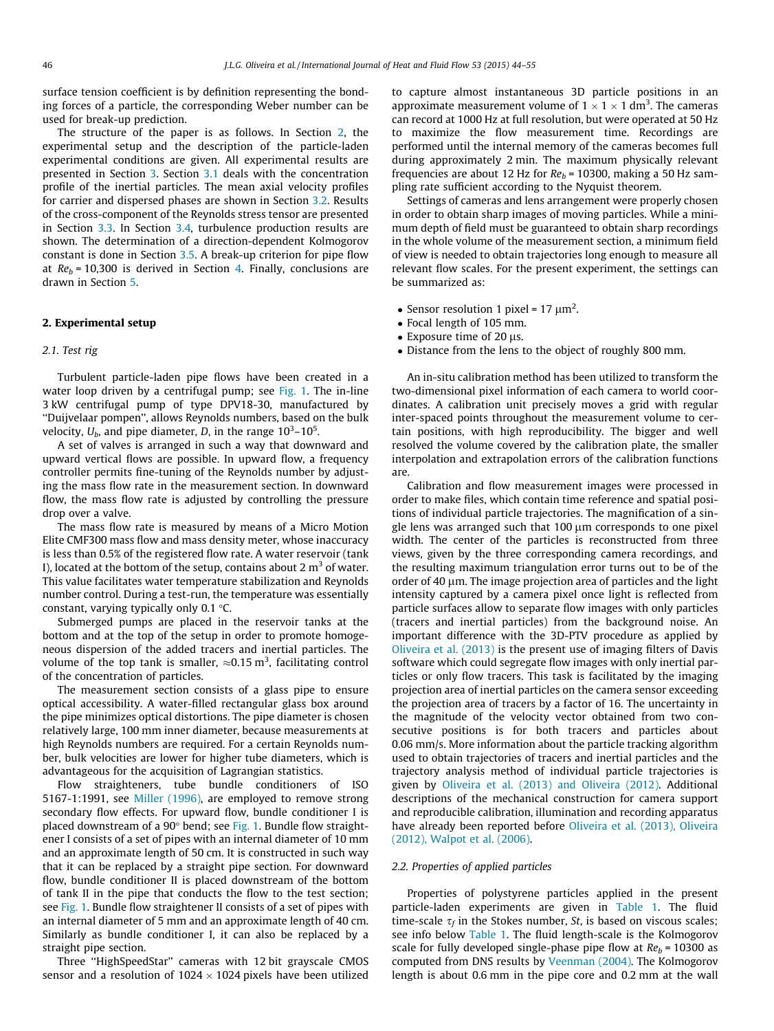surface tension coefficient is by definition representing the bonding forces of a particle, the corresponding Weber number can be used for break-up prediction.

The structure of the paper is as follows. In Section 2, the experimental setup and the description of the particle-laden experimental conditions are given. All experimental results are presented in Section [3](#page-4-0). Section [3.1](#page-4-0) deals with the concentration profile of the inertial particles. The mean axial velocity profiles for carrier and dispersed phases are shown in Section [3.2.](#page-5-0) Results of the cross-component of the Reynolds stress tensor are presented in Section [3.3.](#page-6-0) In Section [3.4,](#page-7-0) turbulence production results are shown. The determination of a direction-dependent Kolmogorov constant is done in Section [3.5.](#page-8-0) A break-up criterion for pipe flow at  $Re_b$  = 10,300 is derived in Section [4.](#page-9-0) Finally, conclusions are drawn in Section [5.](#page-10-0)

#### 2. Experimental setup

#### 2.1. Test rig

Turbulent particle-laden pipe flows have been created in a water loop driven by a centrifugal pump; see [Fig. 1](#page-3-0). The in-line 3 kW centrifugal pump of type DPV18-30, manufactured by ''Duijvelaar pompen'', allows Reynolds numbers, based on the bulk velocity,  $U_b$ , and pipe diameter, D, in the range 10<sup>3</sup>–10<sup>5</sup>.

A set of valves is arranged in such a way that downward and upward vertical flows are possible. In upward flow, a frequency controller permits fine-tuning of the Reynolds number by adjusting the mass flow rate in the measurement section. In downward flow, the mass flow rate is adjusted by controlling the pressure drop over a valve.

The mass flow rate is measured by means of a Micro Motion Elite CMF300 mass flow and mass density meter, whose inaccuracy is less than 0.5% of the registered flow rate. A water reservoir (tank I), located at the bottom of the setup, contains about 2  $m<sup>3</sup>$  of water. This value facilitates water temperature stabilization and Reynolds number control. During a test-run, the temperature was essentially constant, varying typically only 0.1  $\degree$ C.

Submerged pumps are placed in the reservoir tanks at the bottom and at the top of the setup in order to promote homogeneous dispersion of the added tracers and inertial particles. The volume of the top tank is smaller,  $\approx$ 0.15 m<sup>3</sup>, facilitating control of the concentration of particles.

The measurement section consists of a glass pipe to ensure optical accessibility. A water-filled rectangular glass box around the pipe minimizes optical distortions. The pipe diameter is chosen relatively large, 100 mm inner diameter, because measurements at high Reynolds numbers are required. For a certain Reynolds number, bulk velocities are lower for higher tube diameters, which is advantageous for the acquisition of Lagrangian statistics.

Flow straighteners, tube bundle conditioners of ISO 5167-1:1991, see [Miller \(1996\)](#page-11-0), are employed to remove strong secondary flow effects. For upward flow, bundle conditioner I is placed downstream of a 90° bend; see [Fig. 1](#page-3-0). Bundle flow straightener I consists of a set of pipes with an internal diameter of 10 mm and an approximate length of 50 cm. It is constructed in such way that it can be replaced by a straight pipe section. For downward flow, bundle conditioner II is placed downstream of the bottom of tank II in the pipe that conducts the flow to the test section; see [Fig. 1.](#page-3-0) Bundle flow straightener II consists of a set of pipes with an internal diameter of 5 mm and an approximate length of 40 cm. Similarly as bundle conditioner I, it can also be replaced by a straight pipe section.

Three ''HighSpeedStar'' cameras with 12 bit grayscale CMOS sensor and a resolution of 1024  $\times$  1024 pixels have been utilized

to capture almost instantaneous 3D particle positions in an approximate measurement volume of  $1 \times 1 \times 1$  dm<sup>3</sup>. The cameras can record at 1000 Hz at full resolution, but were operated at 50 Hz to maximize the flow measurement time. Recordings are performed until the internal memory of the cameras becomes full during approximately 2 min. The maximum physically relevant frequencies are about 12 Hz for  $Re_b$  = 10300, making a 50 Hz sampling rate sufficient according to the Nyquist theorem.

Settings of cameras and lens arrangement were properly chosen in order to obtain sharp images of moving particles. While a minimum depth of field must be guaranteed to obtain sharp recordings in the whole volume of the measurement section, a minimum field of view is needed to obtain trajectories long enough to measure all relevant flow scales. For the present experiment, the settings can be summarized as:

- Sensor resolution 1 pixel =  $17 \mu m^2$ .
- Focal length of 105 mm.
- $\bullet$  Exposure time of 20 µs.
- Distance from the lens to the object of roughly 800 mm.

An in-situ calibration method has been utilized to transform the two-dimensional pixel information of each camera to world coordinates. A calibration unit precisely moves a grid with regular inter-spaced points throughout the measurement volume to certain positions, with high reproducibility. The bigger and well resolved the volume covered by the calibration plate, the smaller interpolation and extrapolation errors of the calibration functions are.

Calibration and flow measurement images were processed in order to make files, which contain time reference and spatial positions of individual particle trajectories. The magnification of a single lens was arranged such that 100 µm corresponds to one pixel width. The center of the particles is reconstructed from three views, given by the three corresponding camera recordings, and the resulting maximum triangulation error turns out to be of the order of 40  $\mu$ m. The image projection area of particles and the light intensity captured by a camera pixel once light is reflected from particle surfaces allow to separate flow images with only particles (tracers and inertial particles) from the background noise. An important difference with the 3D-PTV procedure as applied by [Oliveira et al. \(2013\)](#page-11-0) is the present use of imaging filters of Davis software which could segregate flow images with only inertial particles or only flow tracers. This task is facilitated by the imaging projection area of inertial particles on the camera sensor exceeding the projection area of tracers by a factor of 16. The uncertainty in the magnitude of the velocity vector obtained from two consecutive positions is for both tracers and particles about 0.06 mm/s. More information about the particle tracking algorithm used to obtain trajectories of tracers and inertial particles and the trajectory analysis method of individual particle trajectories is given by [Oliveira et al. \(2013\) and Oliveira \(2012\).](#page-11-0) Additional descriptions of the mechanical construction for camera support and reproducible calibration, illumination and recording apparatus have already been reported before [Oliveira et al. \(2013\), Oliveira](#page-11-0) [\(2012\), Walpot et al. \(2006\).](#page-11-0)

#### 2.2. Properties of applied particles

Properties of polystyrene particles applied in the present particle-laden experiments are given in [Table 1](#page-3-0). The fluid time-scale  $\tau_f$  in the Stokes number, St, is based on viscous scales; see info below [Table 1.](#page-3-0) The fluid length-scale is the Kolmogorov scale for fully developed single-phase pipe flow at  $Re_b = 10300$  as computed from DNS results by [Veenman \(2004\).](#page-11-0) The Kolmogorov length is about 0.6 mm in the pipe core and 0.2 mm at the wall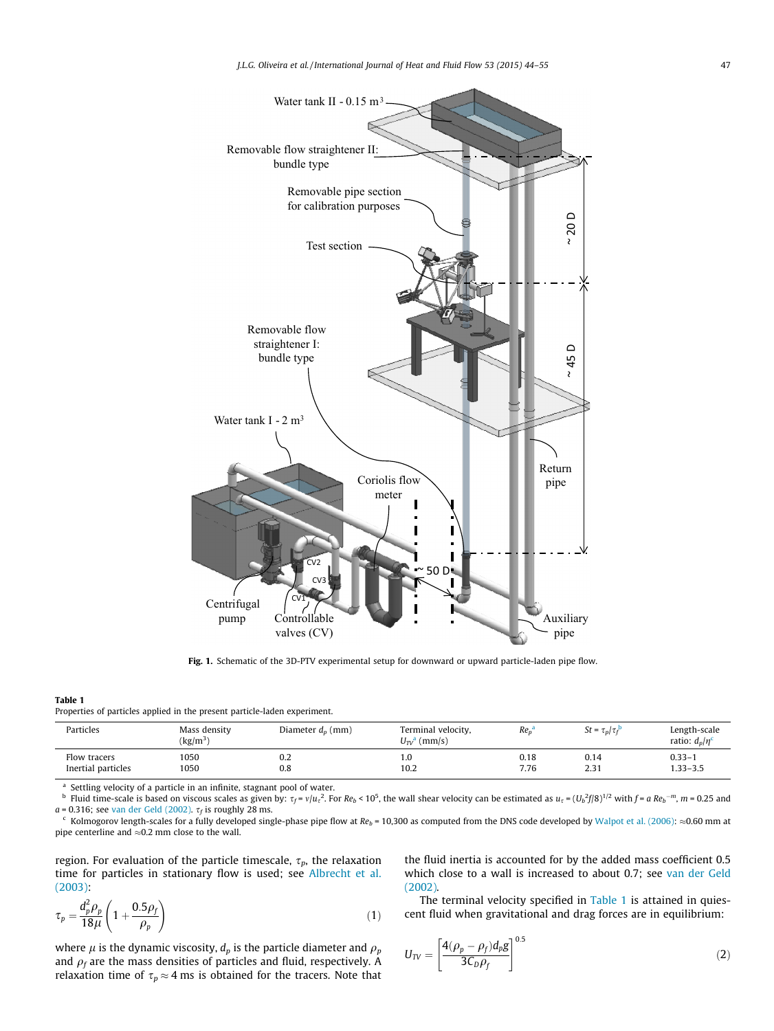<span id="page-3-0"></span>

Fig. 1. Schematic of the 3D-PTV experimental setup for downward or upward particle-laden pipe flow.

#### Table 1

Properties of particles applied in the present particle-laden experiment.

| Particles          | Mass density<br>$\left({\rm kg/m^3}\right)$ | Diameter $d_p$ (mm) | Terminal velocity,<br>$U_{\tau v}^{\dagger}$ (mm/s) | $Re_n$ | $St = \tau_p / \tau_f^{\rm b}$ | Length-scale<br>ratio: $d_p/n^c$ |
|--------------------|---------------------------------------------|---------------------|-----------------------------------------------------|--------|--------------------------------|----------------------------------|
| Flow tracers       | 1050                                        | 0.2                 | 1.0                                                 | 0.18   | 0.14                           | $0.33 - 1$                       |
| Inertial particles | 1050                                        | 0.8                 | 10.2                                                | 7.76   | 2.31                           | $1.33 - 3.5$                     |

<sup>a</sup> Settling velocity of a particle in an infinite, stagnant pool of water.

 $^{\rm b}$  Fluid time-scale is based on viscous scales as given by:  $\tau_f$  =  $v/u$   $_c^2$ . For Re<sub>b</sub> < 10<sup>5</sup>, the wall shear velocity can be estimated as  $u$  =  $(U_b^2f/8)^{1/2}$  with  $f$  = a Re<sub>b</sub>  $^{-m}$ ,  $m$  = 0.25 and  $a = 0.316$ ; see [van der Geld \(2002\)](#page-11-0).  $\tau_f$  is roughly 28 ms.<br><sup>c</sup> Kolmogorov length-scales for a fully developed single-phase pipe flow at Re<sub>b</sub> = 10,300 as computed from the DNS code developed by [Walpot et al. \(2006\):](#page-11-0)  $\approx$ 

pipe centerline and  $\approx$  0.2 mm close to the wall.

region. For evaluation of the particle timescale,  $\tau_p$ , the relaxation time for particles in stationary flow is used; see [Albrecht et al.](#page-11-0) [\(2003\)](#page-11-0):

$$
\tau_p = \frac{d_p^2 \rho_p}{18\mu} \left( 1 + \frac{0.5\rho_f}{\rho_p} \right) \tag{1}
$$

where  $\mu$  is the dynamic viscosity,  $d_p$  is the particle diameter and  $\rho_p$ and  $\rho_f$  are the mass densities of particles and fluid, respectively. A relaxation time of  $\tau_p \approx 4$  ms is obtained for the tracers. Note that the fluid inertia is accounted for by the added mass coefficient 0.5 which close to a wall is increased to about 0.7; see [van der Geld](#page-11-0) [\(2002\)](#page-11-0).

The terminal velocity specified in Table 1 is attained in quiescent fluid when gravitational and drag forces are in equilibrium:

$$
U_{\text{TV}} = \left[\frac{4(\rho_p - \rho_f)d_p g}{3C_D \rho_f}\right]^{0.5}
$$
\n(2)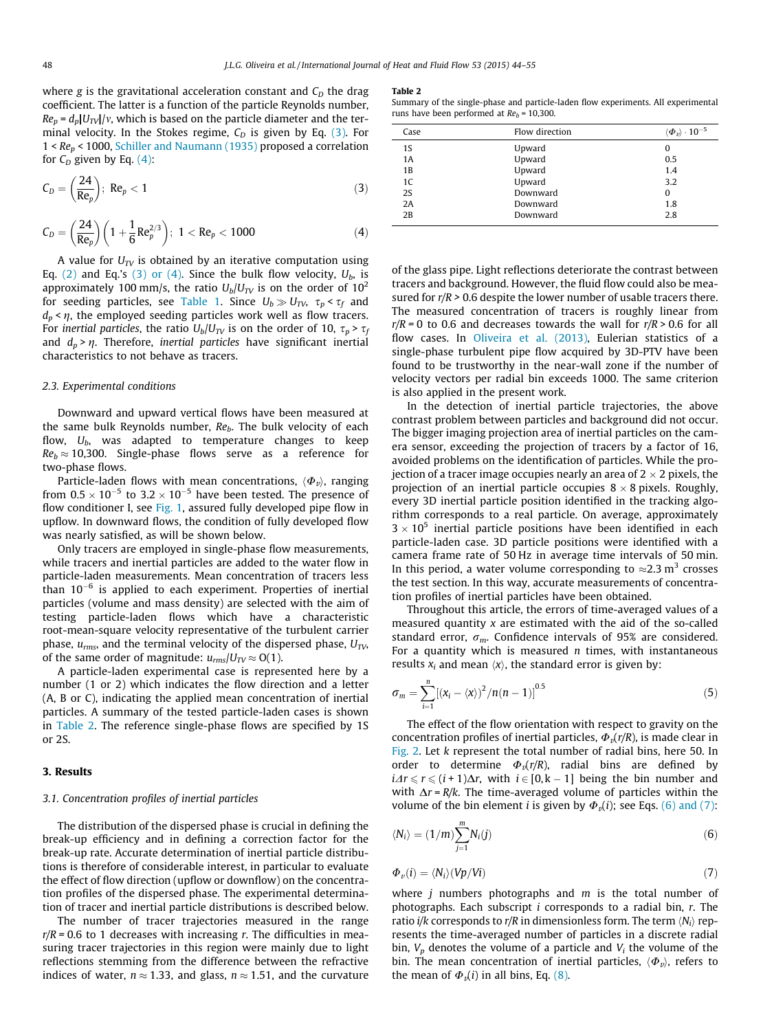<span id="page-4-0"></span>where g is the gravitational acceleration constant and  $C_D$  the drag coefficient. The latter is a function of the particle Reynolds number,  $Re_p = d_p|U_T v|$ , which is based on the particle diameter and the terminal velocity. In the Stokes regime,  $C_D$  is given by Eq. (3). For  $1 < Re_p < 1000$ , [Schiller and Naumann \(1935\)](#page-11-0) proposed a correlation for  $C_D$  given by Eq. (4):

$$
C_D = \left(\frac{24}{Re_p}\right); Re_p < 1
$$
\n(3)

$$
C_D = \bigg(\frac{24}{Re_p}\bigg)\bigg(1+\frac{1}{6}\,Re_p^{2/3}\bigg); \ 1< Re_p < 1000 \hspace{2.2cm} (4)
$$

A value for  $U_{TV}$  is obtained by an iterative computation using Eq. [\(2\)](#page-3-0) and Eq.'s (3) or (4). Since the bulk flow velocity,  $U_b$ , is approximately 100 mm/s, the ratio  $U_b/U_{TV}$  is on the order of 10<sup>2</sup> for seeding particles, see [Table 1.](#page-3-0) Since  $U_b \gg U_{\text{TV}}$ ,  $\tau_n < \tau_f$  and  $d_p$  <  $\eta$ , the employed seeding particles work well as flow tracers. For inertial particles, the ratio  $U_b/U_{TV}$  is on the order of 10,  $\tau_p > \tau_f$ and  $d_p$  >  $\eta$ . Therefore, *inertial particles* have significant inertial characteristics to not behave as tracers.

#### 2.3. Experimental conditions

Downward and upward vertical flows have been measured at the same bulk Reynolds number,  $Re<sub>b</sub>$ . The bulk velocity of each flow,  $U_b$ , was adapted to temperature changes to keep  $Re_b \approx 10,300$ . Single-phase flows serve as a reference for two-phase flows.

Particle-laden flows with mean concentrations,  $\langle \Phi_{\nu} \rangle$ , ranging from  $0.5 \times 10^{-5}$  to  $3.2 \times 10^{-5}$  have been tested. The presence of flow conditioner I, see [Fig. 1](#page-3-0), assured fully developed pipe flow in upflow. In downward flows, the condition of fully developed flow was nearly satisfied, as will be shown below.

Only tracers are employed in single-phase flow measurements, while tracers and inertial particles are added to the water flow in particle-laden measurements. Mean concentration of tracers less than  $10^{-6}$  is applied to each experiment. Properties of inertial particles (volume and mass density) are selected with the aim of testing particle-laden flows which have a characteristic root-mean-square velocity representative of the turbulent carrier phase,  $u_{rms}$ , and the terminal velocity of the dispersed phase,  $U_{TV}$ , of the same order of magnitude:  $u_{rms}/U_{TV} \approx O(1)$ .

A particle-laden experimental case is represented here by a number (1 or 2) which indicates the flow direction and a letter (A, B or C), indicating the applied mean concentration of inertial particles. A summary of the tested particle-laden cases is shown in Table 2. The reference single-phase flows are specified by 1S or 2S.

#### 3. Results

#### 3.1. Concentration profiles of inertial particles

The distribution of the dispersed phase is crucial in defining the break-up efficiency and in defining a correction factor for the break-up rate. Accurate determination of inertial particle distributions is therefore of considerable interest, in particular to evaluate the effect of flow direction (upflow or downflow) on the concentration profiles of the dispersed phase. The experimental determination of tracer and inertial particle distributions is described below.

The number of tracer trajectories measured in the range  $r/R = 0.6$  to 1 decreases with increasing r. The difficulties in measuring tracer trajectories in this region were mainly due to light reflections stemming from the difference between the refractive indices of water,  $n \approx 1.33$ , and glass,  $n \approx 1.51$ , and the curvature

#### Table 2

Summary of the single-phase and particle-laden flow experiments. All experimental runs have been performed at  $Re_b = 10,300$ .

| Case | Flow direction | $\langle \boldsymbol{\varPhi}_{\boldsymbol{\mathit{v}}} \rangle \cdot 10^{-5}$ |
|------|----------------|--------------------------------------------------------------------------------|
| 1S   | Upward         | 0                                                                              |
| 1A   | Upward         | 0.5                                                                            |
| 1B   | Upward         | 1.4                                                                            |
| 1C   | Upward         | 3.2                                                                            |
| 2S   | Downward       | 0                                                                              |
| 2A   | Downward       | 1.8                                                                            |
| 2B   | Downward       | 2.8                                                                            |

of the glass pipe. Light reflections deteriorate the contrast between tracers and background. However, the fluid flow could also be measured for  $r/R > 0.6$  despite the lower number of usable tracers there. The measured concentration of tracers is roughly linear from  $r/R = 0$  to 0.6 and decreases towards the wall for  $r/R > 0.6$  for all flow cases. In [Oliveira et al. \(2013\)](#page-11-0), Eulerian statistics of a single-phase turbulent pipe flow acquired by 3D-PTV have been found to be trustworthy in the near-wall zone if the number of velocity vectors per radial bin exceeds 1000. The same criterion is also applied in the present work.

In the detection of inertial particle trajectories, the above contrast problem between particles and background did not occur. The bigger imaging projection area of inertial particles on the camera sensor, exceeding the projection of tracers by a factor of 16, avoided problems on the identification of particles. While the projection of a tracer image occupies nearly an area of 2  $\times$  2 pixels, the projection of an inertial particle occupies  $8 \times 8$  pixels. Roughly, every 3D inertial particle position identified in the tracking algorithm corresponds to a real particle. On average, approximately  $3 \times 10^5$  inertial particle positions have been identified in each particle-laden case. 3D particle positions were identified with a camera frame rate of 50 Hz in average time intervals of 50 min. In this period, a water volume corresponding to  $\approx 2.3$  m<sup>3</sup> crosses the test section. In this way, accurate measurements of concentration profiles of inertial particles have been obtained.

Throughout this article, the errors of time-averaged values of a measured quantity  $x$  are estimated with the aid of the so-called standard error,  $\sigma_m$ . Confidence intervals of 95% are considered. For a quantity which is measured  $n$  times, with instantaneous results  $x_i$  and mean  $\langle x \rangle$ , the standard error is given by:

$$
\sigma_m = \sum_{i=1}^{n} [(x_i - \langle x \rangle)^2 / n(n-1)]^{0.5}
$$
 (5)

The effect of the flow orientation with respect to gravity on the concentration profiles of inertial particles,  $\Phi_i(r/R)$ , is made clear in [Fig. 2](#page-5-0). Let k represent the total number of radial bins, here 50. In order to determine  $\Phi_i(r/R)$ , radial bins are defined by  $i\Delta r \le r \le (i + 1)\Delta r$ , with  $i \in [0, k - 1]$  being the bin number and with  $\Delta r = R/k$ . The time-averaged volume of particles within the volume of the bin element *i* is given by  $\Phi_{\nu}(i)$ ; see Eqs. (6) and (7):

$$
\langle N_i \rangle = (1/m) \sum_{j=1}^{m} N_i(j) \tag{6}
$$

$$
\Phi_{\nu}(i) = \langle N_i \rangle (Vp/Vi) \tag{7}
$$

where  $j$  numbers photographs and  $m$  is the total number of photographs. Each subscript i corresponds to a radial bin, r. The ratio i/k corresponds to r/R in dimensionless form. The term  $\langle N_i \rangle$  represents the time-averaged number of particles in a discrete radial bin,  $V_p$  denotes the volume of a particle and  $V_i$  the volume of the bin. The mean concentration of inertial particles,  $\langle \Phi_{\nu} \rangle$ , refers to the mean of  $\Phi_{\nu}(i)$  in all bins, Eq. [\(8\)](#page-5-0).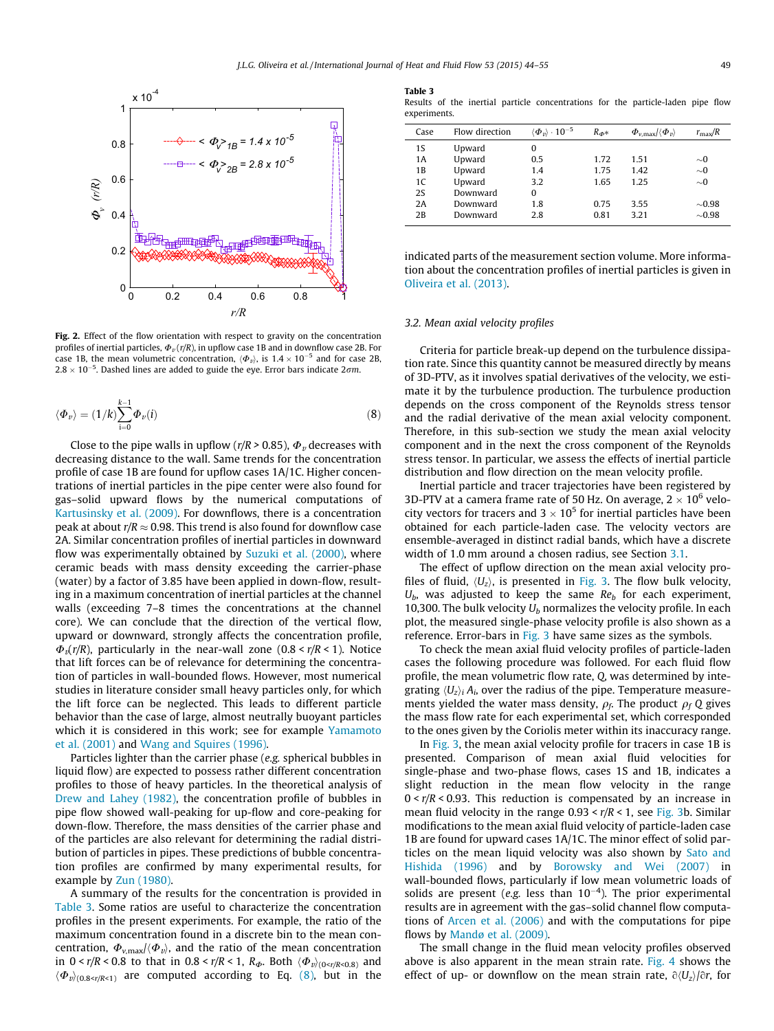<span id="page-5-0"></span>

Fig. 2. Effect of the flow orientation with respect to gravity on the concentration profiles of inertial particles,  $\Phi_{\nu}(r/R)$ , in upflow case 1B and in downflow case 2B. For case 1B, the mean volumetric concentration,  $\langle \Phi_{\nu} \rangle$ , is  $1.4 \times 10^{-5}$  and for case 2B,  $2.8 \times 10^{-5}$ . Dashed lines are added to guide the eye. Error bars indicate  $2 \sigma m$ .

$$
\langle \Phi_v \rangle = (1/k) \sum_{i=0}^{k-1} \Phi_v(i)
$$
 (8)

Close to the pipe walls in upflow ( $r/R > 0.85$ ),  $\Phi_{\nu}$  decreases with decreasing distance to the wall. Same trends for the concentration profile of case 1B are found for upflow cases 1A/1C. Higher concentrations of inertial particles in the pipe center were also found for gas–solid upward flows by the numerical computations of [Kartusinsky et al. \(2009\).](#page-11-0) For downflows, there is a concentration peak at about  $r/R \approx 0.98$ . This trend is also found for downflow case 2A. Similar concentration profiles of inertial particles in downward flow was experimentally obtained by [Suzuki et al. \(2000\),](#page-11-0) where ceramic beads with mass density exceeding the carrier-phase (water) by a factor of 3.85 have been applied in down-flow, resulting in a maximum concentration of inertial particles at the channel walls (exceeding 7–8 times the concentrations at the channel core). We can conclude that the direction of the vertical flow, upward or downward, strongly affects the concentration profile,  $\Phi_{\nu}(r/R)$ , particularly in the near-wall zone (0.8 <  $r/R$  < 1). Notice that lift forces can be of relevance for determining the concentration of particles in wall-bounded flows. However, most numerical studies in literature consider small heavy particles only, for which the lift force can be neglected. This leads to different particle behavior than the case of large, almost neutrally buoyant particles which it is considered in this work; see for example [Yamamoto](#page-11-0) [et al. \(2001\)](#page-11-0) and [Wang and Squires \(1996\).](#page-11-0)

Particles lighter than the carrier phase (e.g. spherical bubbles in liquid flow) are expected to possess rather different concentration profiles to those of heavy particles. In the theoretical analysis of [Drew and Lahey \(1982\)](#page-11-0), the concentration profile of bubbles in pipe flow showed wall-peaking for up-flow and core-peaking for down-flow. Therefore, the mass densities of the carrier phase and of the particles are also relevant for determining the radial distribution of particles in pipes. These predictions of bubble concentration profiles are confirmed by many experimental results, for example by [Zun \(1980\)](#page-11-0).

A summary of the results for the concentration is provided in Table 3. Some ratios are useful to characterize the concentration profiles in the present experiments. For example, the ratio of the maximum concentration found in a discrete bin to the mean concentration,  $\Phi_{v,\text{max}}/\langle \Phi_v \rangle$ , and the ratio of the mean concentration in  $0 \lt r/R \lt 0.8$  to that in  $0.8 \lt r/R \lt 1$ ,  $R_{\phi}$ . Both  $\langle \Phi_v \rangle_{(0 \lt r/R \lt 0.8)}$  and  $\langle \Phi_{v} \rangle_{(0.8 \le r/R \le 1)}$  are computed according to Eq. (8), but in the

#### Table 3

Results of the inertial particle concentrations for the particle-laden pipe flow experiments.

| Case      | Flow direction | $\langle \boldsymbol{\varPhi}_{v} \rangle \cdot \mathbb{10}^{-5}$ | $R_{\Phi^*}$ | $\Phi_{v,\text{max}}/\langle \Phi_v \rangle$ | $r_{\rm max}/R$ |
|-----------|----------------|-------------------------------------------------------------------|--------------|----------------------------------------------|-----------------|
| 1S        | Upward         | 0                                                                 |              |                                              |                 |
| 1A        | Upward         | 0.5                                                               | 1.72         | 1.51                                         | $\sim 0$        |
| 1В        | Upward         | 1.4                                                               | 1.75         | 1.42                                         | $\sim 0$        |
| 1C        | Upward         | 3.2                                                               | 1.65         | 1.25                                         | $\sim 0$        |
| <b>2S</b> | Downward       | 0                                                                 |              |                                              |                 |
| 2A        | Downward       | 1.8                                                               | 0.75         | 3.55                                         | $\sim 0.98$     |
| 2B        | Downward       | 2.8                                                               | 0.81         | 3.21                                         | $\sim 0.98$     |

indicated parts of the measurement section volume. More information about the concentration profiles of inertial particles is given in [Oliveira et al. \(2013\).](#page-11-0)

#### 3.2. Mean axial velocity profiles

Criteria for particle break-up depend on the turbulence dissipation rate. Since this quantity cannot be measured directly by means of 3D-PTV, as it involves spatial derivatives of the velocity, we estimate it by the turbulence production. The turbulence production depends on the cross component of the Reynolds stress tensor and the radial derivative of the mean axial velocity component. Therefore, in this sub-section we study the mean axial velocity component and in the next the cross component of the Reynolds stress tensor. In particular, we assess the effects of inertial particle distribution and flow direction on the mean velocity profile.

Inertial particle and tracer trajectories have been registered by 3D-PTV at a camera frame rate of 50 Hz. On average, 2  $\times$  10<sup>6</sup> velocity vectors for tracers and 3  $\times$  10<sup>5</sup> for inertial particles have been obtained for each particle-laden case. The velocity vectors are ensemble-averaged in distinct radial bands, which have a discrete width of 1.0 mm around a chosen radius, see Section [3.1](#page-4-0).

The effect of upflow direction on the mean axial velocity profiles of fluid,  $\langle U_z \rangle$ , is presented in [Fig. 3.](#page-6-0) The flow bulk velocity,  $U_b$ , was adjusted to keep the same  $Re_b$  for each experiment, 10,300. The bulk velocity  $U_b$  normalizes the velocity profile. In each plot, the measured single-phase velocity profile is also shown as a reference. Error-bars in [Fig. 3](#page-6-0) have same sizes as the symbols.

To check the mean axial fluid velocity profiles of particle-laden cases the following procedure was followed. For each fluid flow profile, the mean volumetric flow rate, Q, was determined by integrating  $\langle U_z \rangle_i$  A<sub>i</sub>, over the radius of the pipe. Temperature measurements yielded the water mass density,  $\rho_f$ . The product  $\rho_f$  Q gives the mass flow rate for each experimental set, which corresponded to the ones given by the Coriolis meter within its inaccuracy range.

In [Fig. 3](#page-6-0), the mean axial velocity profile for tracers in case 1B is presented. Comparison of mean axial fluid velocities for single-phase and two-phase flows, cases 1S and 1B, indicates a slight reduction in the mean flow velocity in the range  $0 < r/R < 0.93$ . This reduction is compensated by an increase in mean fluid velocity in the range  $0.93 < r/R < 1$ , see [Fig. 3](#page-6-0)b. Similar modifications to the mean axial fluid velocity of particle-laden case 1B are found for upward cases 1A/1C. The minor effect of solid particles on the mean liquid velocity was also shown by [Sato and](#page-11-0) [Hishida \(1996\)](#page-11-0) and by [Borowsky and Wei \(2007\)](#page-11-0) in wall-bounded flows, particularly if low mean volumetric loads of solids are present (e.g. less than  $10^{-4}$ ). The prior experimental results are in agreement with the gas–solid channel flow computations of [Arcen et al. \(2006\)](#page-11-0) and with the computations for pipe flows by [Mandø et al. \(2009\).](#page-11-0)

The small change in the fluid mean velocity profiles observed above is also apparent in the mean strain rate. [Fig. 4](#page-6-0) shows the effect of up- or downflow on the mean strain rate,  $\partial \langle U_z \rangle / \partial r$ , for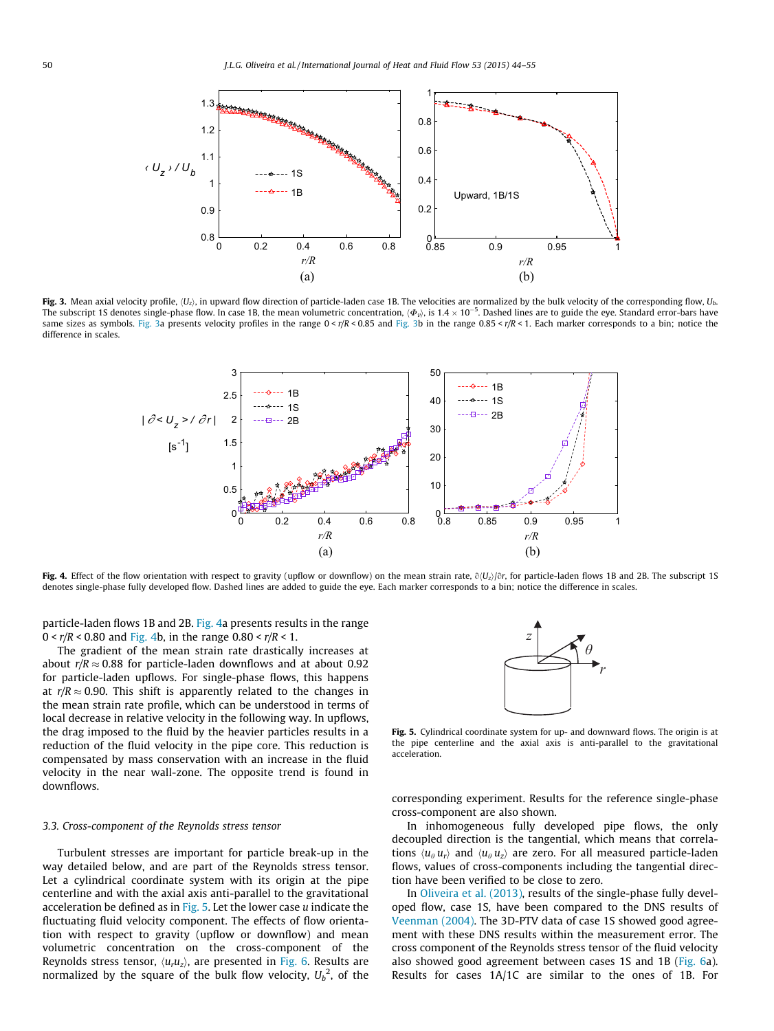<span id="page-6-0"></span>

Fig. 3. Mean axial velocity profile,  $\langle U_z \rangle$ , in upward flow direction of particle-laden case 1B. The velocities are normalized by the bulk velocity of the corresponding flow,  $U_b$ . The subscript 1S denotes single-phase flow. In case 1B, the mean volumetric concentration,  $\langle\Phi_{\nu}\rangle$ , is 1.4  $\times$  10<sup>–5</sup>. Dashed lines are to guide the eye. Standard error-bars have same sizes as symbols. Fig. 3a presents velocity profiles in the range  $0 < r/R < 0.85$  and Fig. 3b in the range  $0.85 < r/R < 1$ . Each marker corresponds to a bin; notice the difference in scales.



Fig. 4. Effect of the flow orientation with respect to gravity (upflow or downflow) on the mean strain rate,  $\partial(U_z)/\partial r$ , for particle-laden flows 1B and 2B. The subscript 1S denotes single-phase fully developed flow. Dashed lines are added to guide the eye. Each marker corresponds to a bin; notice the difference in scales.

particle-laden flows 1B and 2B. Fig. 4a presents results in the range  $0 < r/R < 0.80$  and Fig. 4b, in the range  $0.80 < r/R < 1$ .

The gradient of the mean strain rate drastically increases at about  $r/R \approx 0.88$  for particle-laden downflows and at about 0.92 for particle-laden upflows. For single-phase flows, this happens at  $r/R \approx 0.90$ . This shift is apparently related to the changes in the mean strain rate profile, which can be understood in terms of local decrease in relative velocity in the following way. In upflows, the drag imposed to the fluid by the heavier particles results in a reduction of the fluid velocity in the pipe core. This reduction is compensated by mass conservation with an increase in the fluid velocity in the near wall-zone. The opposite trend is found in downflows.

## 3.3. Cross-component of the Reynolds stress tensor

Turbulent stresses are important for particle break-up in the way detailed below, and are part of the Reynolds stress tensor. Let a cylindrical coordinate system with its origin at the pipe centerline and with the axial axis anti-parallel to the gravitational acceleration be defined as in Fig. 5. Let the lower case  $u$  indicate the fluctuating fluid velocity component. The effects of flow orientation with respect to gravity (upflow or downflow) and mean volumetric concentration on the cross-component of the Reynolds stress tensor,  $\langle u_r u_z \rangle$ , are presented in [Fig. 6.](#page-7-0) Results are normalized by the square of the bulk flow velocity,  $U_b^2$ , of the



Fig. 5. Cylindrical coordinate system for up- and downward flows. The origin is at the pipe centerline and the axial axis is anti-parallel to the gravitational acceleration.

corresponding experiment. Results for the reference single-phase cross-component are also shown.

In inhomogeneous fully developed pipe flows, the only decoupled direction is the tangential, which means that correlations  $\langle u_{\theta} u_{r} \rangle$  and  $\langle u_{\theta} u_{z} \rangle$  are zero. For all measured particle-laden flows, values of cross-components including the tangential direction have been verified to be close to zero.

In [Oliveira et al. \(2013\)](#page-11-0), results of the single-phase fully developed flow, case 1S, have been compared to the DNS results of [Veenman \(2004\).](#page-11-0) The 3D-PTV data of case 1S showed good agreement with these DNS results within the measurement error. The cross component of the Reynolds stress tensor of the fluid velocity also showed good agreement between cases 1S and 1B [\(Fig. 6a](#page-7-0)). Results for cases 1A/1C are similar to the ones of 1B. For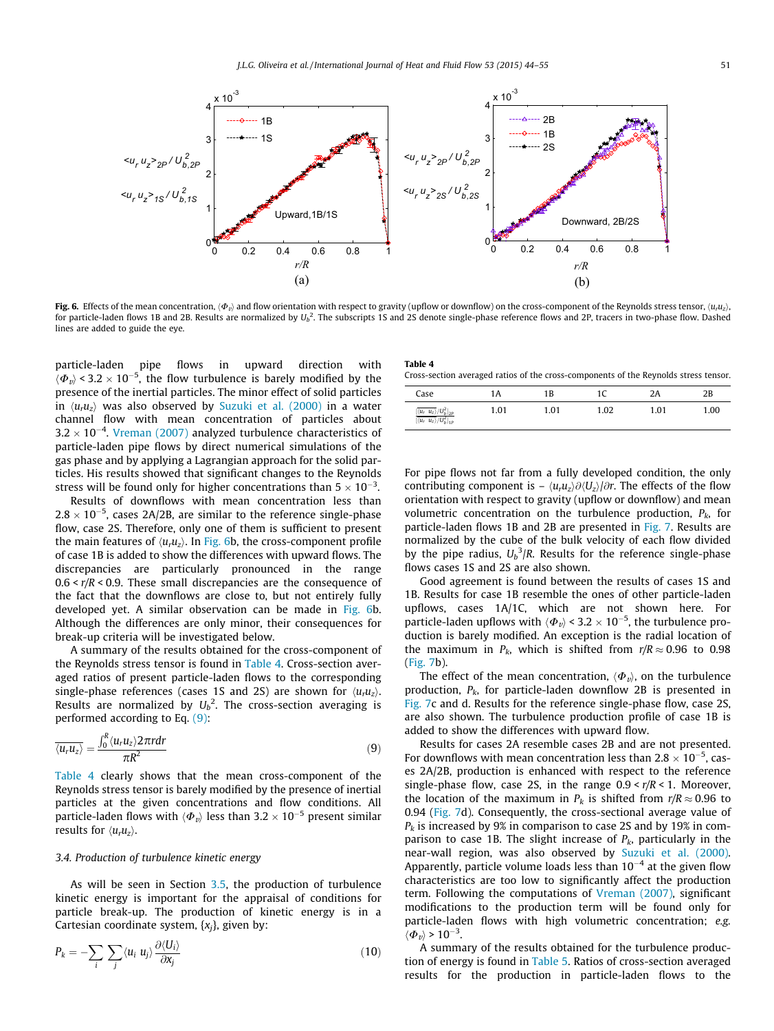<span id="page-7-0"></span>

Fig. 6. Effects of the mean concentration,  $\langle \Phi_n \rangle$  and flow orientation with respect to gravity (upflow or downflow) on the cross-component of the Reynolds stress tensor,  $\langle u, u \rangle$ , for particle-laden flows 1B and 2B. Results are normalized by  $U_b^2$ . The subscripts 1S and 2S denote single-phase reference flows and 2P, tracers in two-phase flow. Dashed lines are added to guide the eye.

particle-laden pipe flows in upward direction with  $\langle \Phi_v \rangle$  < 3.2  $\times$  10<sup>-5</sup>, the flow turbulence is barely modified by the presence of the inertial particles. The minor effect of solid particles in  $\langle u_r u_r \rangle$  was also observed by [Suzuki et al. \(2000\)](#page-11-0) in a water channel flow with mean concentration of particles about  $3.2 \times 10^{-4}$ . [Vreman \(2007\)](#page-11-0) analyzed turbulence characteristics of particle-laden pipe flows by direct numerical simulations of the gas phase and by applying a Lagrangian approach for the solid particles. His results showed that significant changes to the Reynolds stress will be found only for higher concentrations than 5  $\times$  10<sup>–3</sup>.

Results of downflows with mean concentration less than  $2.8 \times 10^{-5}$ , cases 2A/2B, are similar to the reference single-phase flow, case 2S. Therefore, only one of them is sufficient to present the main features of  $\langle u_r u_z \rangle$ . In Fig. 6b, the cross-component profile of case 1B is added to show the differences with upward flows. The discrepancies are particularly pronounced in the range  $0.6 < r/R < 0.9$ . These small discrepancies are the consequence of the fact that the downflows are close to, but not entirely fully developed yet. A similar observation can be made in Fig. 6b. Although the differences are only minor, their consequences for break-up criteria will be investigated below.

A summary of the results obtained for the cross-component of the Reynolds stress tensor is found in Table 4. Cross-section averaged ratios of present particle-laden flows to the corresponding single-phase references (cases 1S and 2S) are shown for  $\langle u_r u_z \rangle$ . Results are normalized by  $U_b^2$ . The cross-section averaging is performed according to Eq. (9):

$$
\overline{\langle u_r u_z \rangle} = \frac{\int_0^R \langle u_r u_z \rangle 2\pi r dr}{\pi R^2}
$$
\n(9)

Table 4 clearly shows that the mean cross-component of the Reynolds stress tensor is barely modified by the presence of inertial particles at the given concentrations and flow conditions. All particle-laden flows with  $\langle \varPhi_{\it v} \rangle$  less than 3.2  $\times$  10<sup>–5</sup> present similar results for  $\langle u_r u_z \rangle$ .

#### 3.4. Production of turbulence kinetic energy

As will be seen in Section [3.5,](#page-8-0) the production of turbulence kinetic energy is important for the appraisal of conditions for particle break-up. The production of kinetic energy is in a Cartesian coordinate system,  $\{x_i\}$ , given by:

$$
P_k = -\sum_i \sum_j \langle u_i \ u_j \rangle \frac{\partial \langle U_i \rangle}{\partial x_j} \tag{10}
$$

| Table 4 |
|---------|
|---------|

Cross-section averaged ratios of the cross-components of the Reynolds stress tensor.

| Case                                                                                                                                                                                                                     | 1Α   | 1B   |      |      | 2B   |
|--------------------------------------------------------------------------------------------------------------------------------------------------------------------------------------------------------------------------|------|------|------|------|------|
| $\frac{\frac{\left[\overline{\langle u_r \ u_z \rangle} / U_b^2\right]_{2P}}{\left[\overline{\langle u_r \ u_z \rangle} / U_b^2\right]_{1P}}}{\frac{\left[\overline{\langle u_r \ u_z \rangle} / U_b^2\right]_{1P}}{2}}$ | 1.01 | 1.01 | 1.02 | 1.01 | 1.00 |

For pipe flows not far from a fully developed condition, the only contributing component is –  $\langle u_r u_z \rangle \partial \langle U_z \rangle / \partial r$ . The effects of the flow orientation with respect to gravity (upflow or downflow) and mean volumetric concentration on the turbulence production,  $P_k$ , for particle-laden flows 1B and 2B are presented in [Fig. 7](#page-8-0). Results are normalized by the cube of the bulk velocity of each flow divided by the pipe radius,  $U_b^3/R$ . Results for the reference single-phase flows cases 1S and 2S are also shown.

Good agreement is found between the results of cases 1S and 1B. Results for case 1B resemble the ones of other particle-laden upflows, cases 1A/1C, which are not shown here. For particle-laden upflows with  $\langle \Phi_v \rangle$  < 3.2  $\times$  10<sup>-5</sup>, the turbulence production is barely modified. An exception is the radial location of the maximum in  $P_k$ , which is shifted from  $r/R \approx 0.96$  to 0.98 ([Fig. 7b](#page-8-0)).

The effect of the mean concentration,  $\langle \Phi_{\nu} \rangle$ , on the turbulence production,  $P_k$ , for particle-laden downflow 2B is presented in [Fig. 7](#page-8-0)c and d. Results for the reference single-phase flow, case 2S, are also shown. The turbulence production profile of case 1B is added to show the differences with upward flow.

Results for cases 2A resemble cases 2B and are not presented. For downflows with mean concentration less than  $2.8 \times 10^{-5}$ , cases 2A/2B, production is enhanced with respect to the reference single-phase flow, case 2S, in the range  $0.9 < r/R < 1$ . Moreover, the location of the maximum in  $P_k$  is shifted from  $r/R \approx 0.96$  to 0.94 ([Fig. 7](#page-8-0)d). Consequently, the cross-sectional average value of  $P_k$  is increased by 9% in comparison to case 2S and by 19% in comparison to case 1B. The slight increase of  $P_k$ , particularly in the near-wall region, was also observed by [Suzuki et al. \(2000\).](#page-11-0) Apparently, particle volume loads less than  $10^{-4}$  at the given flow characteristics are too low to significantly affect the production term. Following the computations of [Vreman \(2007\),](#page-11-0) significant modifications to the production term will be found only for particle-laden flows with high volumetric concentration; e.g.  $\langle \Phi_v \rangle$  >  $10^{-3}$ .

A summary of the results obtained for the turbulence production of energy is found in [Table 5](#page-8-0). Ratios of cross-section averaged results for the production in particle-laden flows to the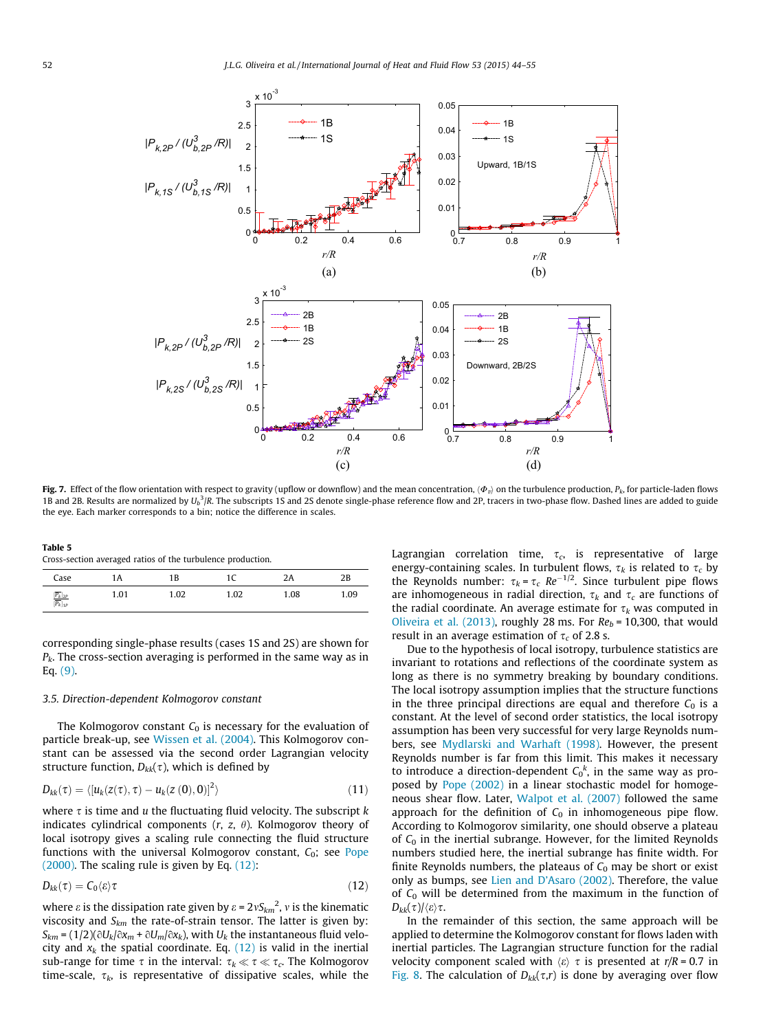<span id="page-8-0"></span>

Fig. 7. Effect of the flow orientation with respect to gravity (upflow or downflow) and the mean concentration,  $\langle \Phi_v \rangle$  on the turbulence production,  $P_k$ , for particle-laden flows 1B and 2B. Results are normalized by  $U_b{}^3/R$ . The subscripts 1S and 2S denote single-phase reference flow and 2P, tracers in two-phase flow. Dashed lines are added to guide the eye. Each marker corresponds to a bin; notice the difference in scales.

| Table 5                                                    |  |  |  |
|------------------------------------------------------------|--|--|--|
| Cross-section averaged ratios of the turbulence production |  |  |  |

| Case                                                  | 1Α   | 1 B  | 1C   | 2A   | 2B   |
|-------------------------------------------------------|------|------|------|------|------|
| $\frac{[\overline{P_k}]_{2P}}{[\overline{P_k}]_{1P}}$ | 1.01 | 1.02 | 1.02 | 1.08 | 1.09 |

corresponding single-phase results (cases 1S and 2S) are shown for  $P_k$ . The cross-section averaging is performed in the same way as in Eq. [\(9\)](#page-7-0).

#### 3.5. Direction-dependent Kolmogorov constant

The Kolmogorov constant  $C_0$  is necessary for the evaluation of particle break-up, see [Wissen et al. \(2004\)](#page-11-0). This Kolmogorov constant can be assessed via the second order Lagrangian velocity structure function,  $D_{kk}(\tau)$ , which is defined by

$$
D_{kk}(\tau) = \langle [u_k(z(\tau), \tau) - u_k(z(0), 0)]^2 \rangle \tag{11}
$$

where  $\tau$  is time and u the fluctuating fluid velocity. The subscript k indicates cylindrical components  $(r, z, \theta)$ . Kolmogorov theory of local isotropy gives a scaling rule connecting the fluid structure functions with the universal Kolmogorov constant,  $C_0$ ; see [Pope](#page-11-0) [\(2000\)](#page-11-0). The scaling rule is given by Eq. (12):

$$
D_{kk}(\tau) = C_0 \langle \varepsilon \rangle \tau \tag{12}
$$

where  $\varepsilon$  is the dissipation rate given by  $\varepsilon$  = 2vS $_{km}$ <sup>2</sup>, v is the kinematic viscosity and  $S_{km}$  the rate-of-strain tensor. The latter is given by:  $S_{km}$  = (1/2)( $\partial U_k/\partial x_m$  +  $\partial U_m/\partial x_k$ ), with  $U_k$  the instantaneous fluid velocity and  $x_k$  the spatial coordinate. Eq. (12) is valid in the inertial sub-range for time  $\tau$  in the interval:  $\tau_k \ll \tau \ll \tau_c$ . The Kolmogorov time-scale,  $\tau_k$ , is representative of dissipative scales, while the Lagrangian correlation time,  $\tau_c$ , is representative of large energy-containing scales. In turbulent flows,  $\tau_k$  is related to  $\tau_c$  by the Reynolds number:  $\tau_k = \tau_c$  Re<sup>-1/2</sup>. Since turbulent pipe flows are inhomogeneous in radial direction,  $\tau_k$  and  $\tau_c$  are functions of the radial coordinate. An average estimate for  $\tau_k$  was computed in [Oliveira et al. \(2013\),](#page-11-0) roughly 28 ms. For  $Re_b = 10,300$ , that would result in an average estimation of  $\tau_c$  of 2.8 s.

Due to the hypothesis of local isotropy, turbulence statistics are invariant to rotations and reflections of the coordinate system as long as there is no symmetry breaking by boundary conditions. The local isotropy assumption implies that the structure functions in the three principal directions are equal and therefore  $C_0$  is a constant. At the level of second order statistics, the local isotropy assumption has been very successful for very large Reynolds numbers, see [Mydlarski and Warhaft \(1998\)](#page-11-0). However, the present Reynolds number is far from this limit. This makes it necessary to introduce a direction-dependent  $C_0^k$ , in the same way as proposed by [Pope \(2002\)](#page-11-0) in a linear stochastic model for homogeneous shear flow. Later, [Walpot et al. \(2007\)](#page-11-0) followed the same approach for the definition of  $C_0$  in inhomogeneous pipe flow. According to Kolmogorov similarity, one should observe a plateau of  $C_0$  in the inertial subrange. However, for the limited Reynolds numbers studied here, the inertial subrange has finite width. For finite Reynolds numbers, the plateaus of  $C_0$  may be short or exist only as bumps, see [Lien and D'Asaro \(2002\).](#page-11-0) Therefore, the value of  $C_0$  will be determined from the maximum in the function of  $D_{kk}(\tau)/\langle \varepsilon \rangle \tau$ .

In the remainder of this section, the same approach will be applied to determine the Kolmogorov constant for flows laden with inertial particles. The Lagrangian structure function for the radial velocity component scaled with  $\langle \varepsilon \rangle \tau$  is presented at r/R = 0.7 in [Fig. 8.](#page-9-0) The calculation of  $D_{kk}(\tau,r)$  is done by averaging over flow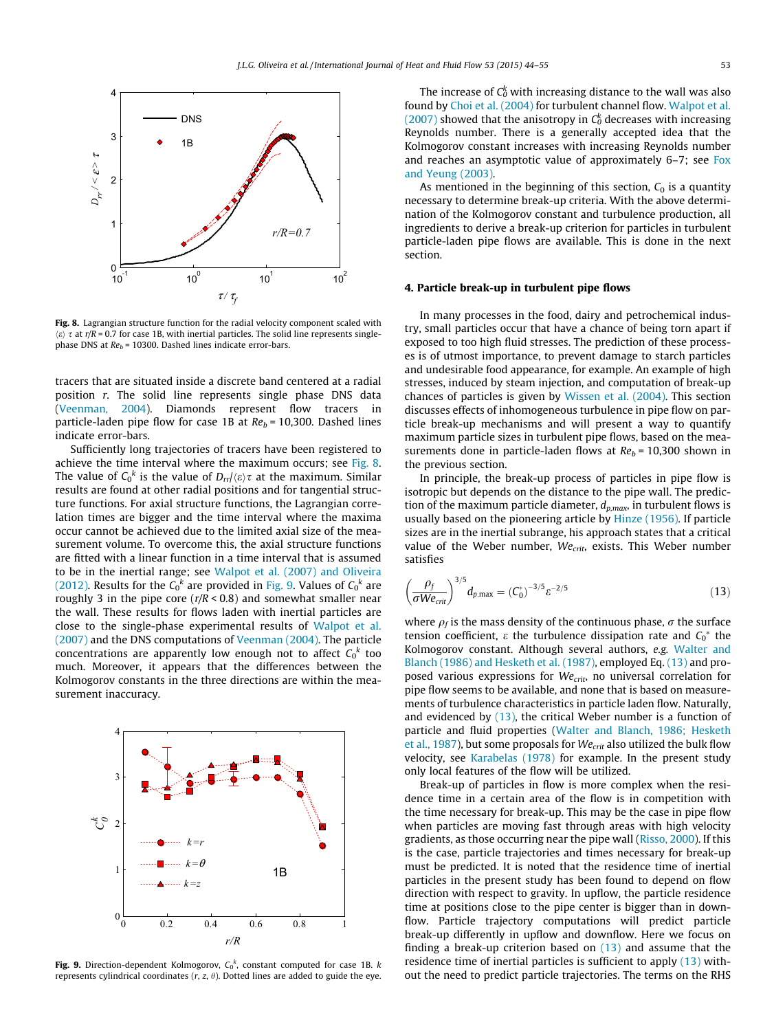<span id="page-9-0"></span>

Fig. 8. Lagrangian structure function for the radial velocity component scaled with  $\langle \varepsilon \rangle \tau$  at r/R = 0.7 for case 1B, with inertial particles. The solid line represents singlephase DNS at  $Re_b$  = 10300. Dashed lines indicate error-bars.

tracers that are situated inside a discrete band centered at a radial position r. The solid line represents single phase DNS data ([Veenman, 2004](#page-11-0)). Diamonds represent flow tracers in particle-laden pipe flow for case 1B at  $Re_b = 10,300$ . Dashed lines indicate error-bars.

Sufficiently long trajectories of tracers have been registered to achieve the time interval where the maximum occurs; see Fig. 8. The value of  $\mathsf{C}_0{}^k$  is the value of  $D_{rr}/\langle \varepsilon \rangle \tau$  at the maximum. Similar results are found at other radial positions and for tangential structure functions. For axial structure functions, the Lagrangian correlation times are bigger and the time interval where the maxima occur cannot be achieved due to the limited axial size of the measurement volume. To overcome this, the axial structure functions are fitted with a linear function in a time interval that is assumed to be in the inertial range; see [Walpot et al. \(2007\) and Oliveira](#page-11-0) [\(2012\).](#page-11-0) Results for the  $C_0^k$  are provided in Fig. 9. Values of  $C_0^k$  are roughly 3 in the pipe core ( $r/R < 0.8$ ) and somewhat smaller near the wall. These results for flows laden with inertial particles are close to the single-phase experimental results of [Walpot et al.](#page-11-0) [\(2007\)](#page-11-0) and the DNS computations of [Veenman \(2004\).](#page-11-0) The particle concentrations are apparently low enough not to affect  $\mathsf{C_0}^k$  too much. Moreover, it appears that the differences between the Kolmogorov constants in the three directions are within the measurement inaccuracy.



Fig. 9. Direction-dependent Kolmogorov,  $C_0^k$ , constant computed for case 1B.  $k$ represents cylindrical coordinates  $(r, z, \theta)$ . Dotted lines are added to guide the eye.

The increase of  $\mathsf{C}_0^{\!k}$  with increasing distance to the wall was also found by [Choi et al. \(2004\)](#page-11-0) for turbulent channel flow. [Walpot et al.](#page-11-0)  $(2007)$  showed that the anisotropy in  $C_0^k$  decreases with increasing Reynolds number. There is a generally accepted idea that the Kolmogorov constant increases with increasing Reynolds number and reaches an asymptotic value of approximately 6–7; see [Fox](#page-11-0) [and Yeung \(2003\)](#page-11-0).

As mentioned in the beginning of this section,  $C_0$  is a quantity necessary to determine break-up criteria. With the above determination of the Kolmogorov constant and turbulence production, all ingredients to derive a break-up criterion for particles in turbulent particle-laden pipe flows are available. This is done in the next section.

#### 4. Particle break-up in turbulent pipe flows

In many processes in the food, dairy and petrochemical industry, small particles occur that have a chance of being torn apart if exposed to too high fluid stresses. The prediction of these processes is of utmost importance, to prevent damage to starch particles and undesirable food appearance, for example. An example of high stresses, induced by steam injection, and computation of break-up chances of particles is given by [Wissen et al. \(2004\)](#page-11-0). This section discusses effects of inhomogeneous turbulence in pipe flow on particle break-up mechanisms and will present a way to quantify maximum particle sizes in turbulent pipe flows, based on the measurements done in particle-laden flows at  $Re_b$  = 10,300 shown in the previous section.

In principle, the break-up process of particles in pipe flow is isotropic but depends on the distance to the pipe wall. The prediction of the maximum particle diameter,  $d_{p,max}$ , in turbulent flows is usually based on the pioneering article by [Hinze \(1956\).](#page-11-0) If particle sizes are in the inertial subrange, his approach states that a critical value of the Weber number,  $We_{crit}$ , exists. This Weber number satisfies

$$
\left(\frac{\rho_f}{\sigma W e_{\rm crit}}\right)^{3/5} d_{p, \max} = \left(\frac{C_0^*}{\sigma}\right)^{-3/5} \varepsilon^{-2/5} \tag{13}
$$

where  $\rho_f$  is the mass density of the continuous phase,  $\sigma$  the surface tension coefficient,  $\varepsilon$  the turbulence dissipation rate and  $C_0^*$  the Kolmogorov constant. Although several authors, e.g. [Walter and](#page-11-0) [Blanch \(1986\) and Hesketh et al. \(1987\),](#page-11-0) employed Eq. (13) and proposed various expressions for  $We_{crit}$ , no universal correlation for pipe flow seems to be available, and none that is based on measurements of turbulence characteristics in particle laden flow. Naturally, and evidenced by  $(13)$ , the critical Weber number is a function of particle and fluid properties [\(Walter and Blanch, 1986; Hesketh](#page-11-0) [et al., 1987\)](#page-11-0), but some proposals for  $We_{crit}$  also utilized the bulk flow velocity, see [Karabelas \(1978\)](#page-11-0) for example. In the present study only local features of the flow will be utilized.

Break-up of particles in flow is more complex when the residence time in a certain area of the flow is in competition with the time necessary for break-up. This may be the case in pipe flow when particles are moving fast through areas with high velocity gradients, as those occurring near the pipe wall ([Risso, 2000\)](#page-11-0). If this is the case, particle trajectories and times necessary for break-up must be predicted. It is noted that the residence time of inertial particles in the present study has been found to depend on flow direction with respect to gravity. In upflow, the particle residence time at positions close to the pipe center is bigger than in downflow. Particle trajectory computations will predict particle break-up differently in upflow and downflow. Here we focus on finding a break-up criterion based on (13) and assume that the residence time of inertial particles is sufficient to apply (13) without the need to predict particle trajectories. The terms on the RHS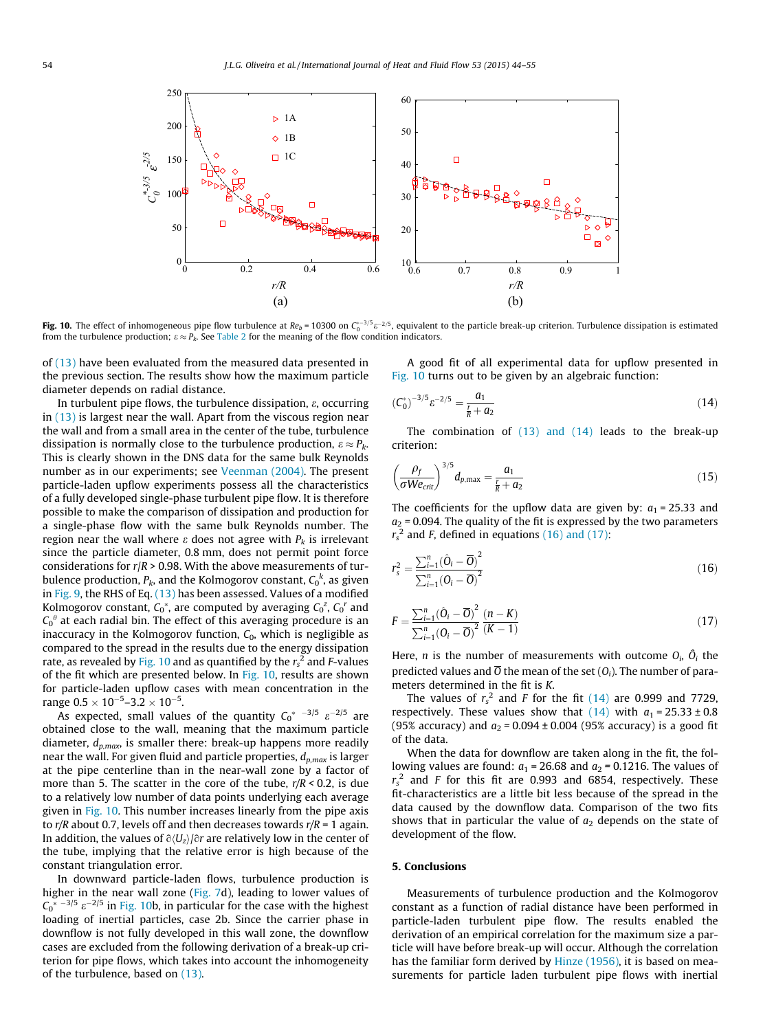<span id="page-10-0"></span>

**Fig. 10.** The effect of inhomogeneous pipe flow turbulence at Re $_b$  = 10300 on C $_0^{*$  -3/5  $e$  -2/5, equivalent to the particle break-up criterion. Turbulence dissipation is estimated from the turbulence production;  $\varepsilon \approx P_k$ . See [Table 2](#page-4-0) for the meaning of the flow condition indicators.

of [\(13\)](#page-9-0) have been evaluated from the measured data presented in the previous section. The results show how the maximum particle diameter depends on radial distance.

In turbulent pipe flows, the turbulence dissipation,  $\varepsilon$ , occurring in [\(13\)](#page-9-0) is largest near the wall. Apart from the viscous region near the wall and from a small area in the center of the tube, turbulence dissipation is normally close to the turbulence production,  $\varepsilon \approx P_k$ . This is clearly shown in the DNS data for the same bulk Reynolds number as in our experiments; see [Veenman \(2004\).](#page-11-0) The present particle-laden upflow experiments possess all the characteristics of a fully developed single-phase turbulent pipe flow. It is therefore possible to make the comparison of dissipation and production for a single-phase flow with the same bulk Reynolds number. The region near the wall where  $\varepsilon$  does not agree with  $P_k$  is irrelevant since the particle diameter, 0.8 mm, does not permit point force considerations for  $r/R > 0.98$ . With the above measurements of turbulence production,  $P_k$ , and the Kolmogorov constant,  $\mathsf{C} _0{}^k$ , as given in [Fig. 9,](#page-9-0) the RHS of Eq. [\(13\)](#page-9-0) has been assessed. Values of a modified Kolmogorov constant,  $C_0^*$ , are computed by averaging  $C_0^z$ ,  $C_0^r$  and  $\mathsf{C_{0}}^{\theta}$  at each radial bin. The effect of this averaging procedure is an inaccuracy in the Kolmogorov function,  $C_0$ , which is negligible as compared to the spread in the results due to the energy dissipation rate, as revealed by Fig. 10 and as quantified by the  $r_{\rm s}^{\; 2}$  and F-values of the fit which are presented below. In Fig. 10, results are shown for particle-laden upflow cases with mean concentration in the range  $0.5 \times 10^{-5}$ –3.2  $\times$   $10^{-5}$ .

As expected, small values of the quantity  $C_0^*$   $^{-3/5}$   $\varepsilon^{-2/5}$  are obtained close to the wall, meaning that the maximum particle diameter,  $d_{p,max}$ , is smaller there: break-up happens more readily near the wall. For given fluid and particle properties,  $d_{p,max}$  is larger at the pipe centerline than in the near-wall zone by a factor of more than 5. The scatter in the core of the tube,  $r/R < 0.2$ , is due to a relatively low number of data points underlying each average given in Fig. 10. This number increases linearly from the pipe axis to  $r/R$  about 0.7, levels off and then decreases towards  $r/R = 1$  again. In addition, the values of  $\partial \langle U_z \rangle / \partial r$  are relatively low in the center of the tube, implying that the relative error is high because of the constant triangulation error.

In downward particle-laden flows, turbulence production is higher in the near wall zone [\(Fig. 7](#page-8-0)d), leading to lower values of  $C_0^*$ <sup>-3/5</sup>  $\varepsilon^{-2/5}$  in Fig. 10b, in particular for the case with the highest loading of inertial particles, case 2b. Since the carrier phase in downflow is not fully developed in this wall zone, the downflow cases are excluded from the following derivation of a break-up criterion for pipe flows, which takes into account the inhomogeneity of the turbulence, based on [\(13\)](#page-9-0).

A good fit of all experimental data for upflow presented in Fig. 10 turns out to be given by an algebraic function:

$$
\left(C_0^*\right)^{-3/5} \varepsilon^{-2/5} = \frac{a_1}{\frac{r}{R} + a_2} \tag{14}
$$

The combination of [\(13\) and \(14\)](#page-9-0) leads to the break-up criterion:

$$
\left(\frac{\rho_f}{\sigma We_{\rm crit}}\right)^{3/5} d_{p,\max} = \frac{a_1}{\frac{r}{R} + a_2} \tag{15}
$$

The coefficients for the upflow data are given by:  $a_1 = 25.33$  and  $a_2$  = 0.094. The quality of the fit is expressed by the two parameters  $r_s^2$  and F, defined in equations (16) and (17):

$$
r_s^2 = \frac{\sum_{i=1}^n (\hat{O}_i - \overline{O})^2}{\sum_{i=1}^n (O_i - \overline{O})^2}
$$
(16)

$$
F = \frac{\sum_{i=1}^{n} (\hat{O}_i - \overline{O})^2 (n - K)}{\sum_{i=1}^{n} (O_i - \overline{O})^2 (K - 1)}
$$
(17)

Here, *n* is the number of measurements with outcome  $O_i$ ,  $\hat{O}_i$  the predicted values and  $\overline{O}$  the mean of the set (O<sub>i</sub>). The number of parameters determined in the fit is K.

The values of  $r_s^2$  and F for the fit (14) are 0.999 and 7729, respectively. These values show that  $(14)$  with  $a_1 = 25.33 \pm 0.8$ (95% accuracy) and  $a_2 = 0.094 \pm 0.004$  (95% accuracy) is a good fit of the data.

When the data for downflow are taken along in the fit, the following values are found:  $a_1 = 26.68$  and  $a_2 = 0.1216$ . The values of  $r_s^2$  and F for this fit are 0.993 and 6854, respectively. These fit-characteristics are a little bit less because of the spread in the data caused by the downflow data. Comparison of the two fits shows that in particular the value of  $a_2$  depends on the state of development of the flow.

#### 5. Conclusions

Measurements of turbulence production and the Kolmogorov constant as a function of radial distance have been performed in particle-laden turbulent pipe flow. The results enabled the derivation of an empirical correlation for the maximum size a particle will have before break-up will occur. Although the correlation has the familiar form derived by [Hinze \(1956\)](#page-11-0), it is based on measurements for particle laden turbulent pipe flows with inertial